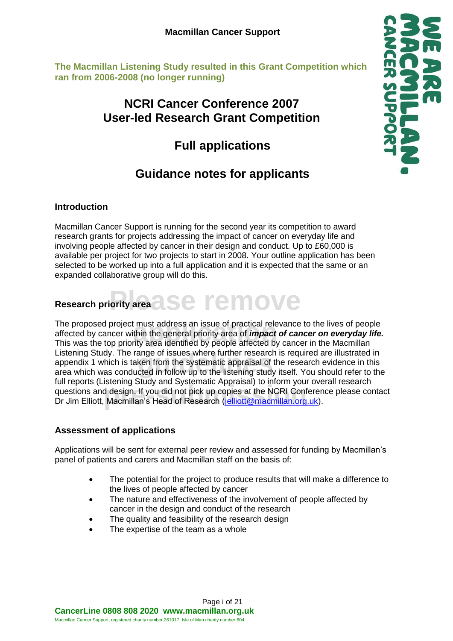**The Macmillan Listening Study resulted in this Grant Competition which ran from 2006-2008 (no longer running)**

# **NCRI Cancer Conference 2007 User-led Research Grant Competition**

# **Full applications**

# **Guidance notes for applicants**

#### **Introduction**

Macmillan Cancer Support is running for the second year its competition to award research grants for projects addressing the impact of cancer on everyday life and involving people affected by cancer in their design and conduct. Up to £60,000 is available per project for two projects to start in 2008. Your outline application has been selected to be worked up into a full application and it is expected that the same or an expanded collaborative group will do this.

# **Prity area assement of the MOVE Research priority area**

The proposed project must address an issue of practical relevance to the lives of people<br>affected by cancer within the general priority area of *impact of cancer on everyday I*<br>This was the top priority area identified by ange of issues where further research i<br>ken from the systematic appraisal of th<br>cted in follow up to the listening study i run reports (Eisterling Study and Systematic Appraisar) to inform your overall research<br>questions and design. If you did not pick up copies at the NCRI Conference please contact<br>Dr Jim Elliott, Macmillan's Head of Research The proposed project must address an issue of practical relevance to the lives of people affected by cancer within the general priority area of *impact of cancer on everyday life.* Listening Study. The range of issues where further research is required are illustrated in appendix 1 which is taken from the systematic appraisal of the research evidence in this area which was conducted in follow up to the listening study itself. You should refer to the full reports (Listening Study and Systematic Appraisal) to inform your overall research Dr Jim Elliott, Macmillan's Head of Research (jelliott@macmillan.org.uk).

#### **Assessment of applications**

Applications will be sent for external peer review and assessed for funding by Macmillan's panel of patients and carers and Macmillan staff on the basis of:

- The potential for the project to produce results that will make a difference to the lives of people affected by cancer
- The nature and effectiveness of the involvement of people affected by cancer in the design and conduct of the research
- The quality and feasibility of the research design
- The expertise of the team as a whole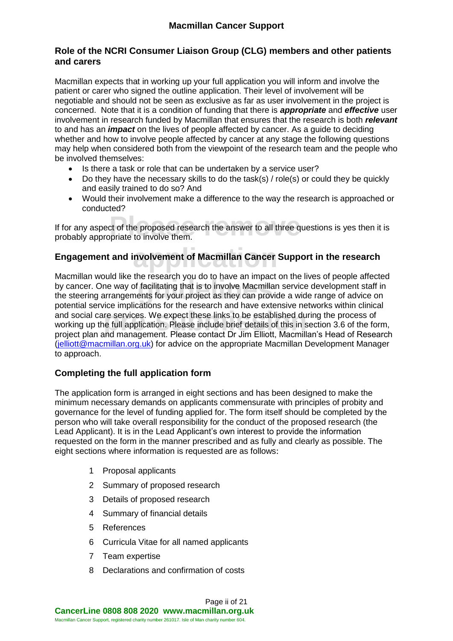#### **Role of the NCRI Consumer Liaison Group (CLG) members and other patients and carers**

Macmillan expects that in working up your full application you will inform and involve the patient or carer who signed the outline application. Their level of involvement will be negotiable and should not be seen as exclusive as far as user involvement in the project is concerned. Note that it is a condition of funding that there is *appropriate* and *effective* user involvement in research funded by Macmillan that ensures that the research is both *relevant* to and has an *impact* on the lives of people affected by cancer. As a guide to deciding whether and how to involve people affected by cancer at any stage the following questions may help when considered both from the viewpoint of the research team and the people who be involved themselves:

- Is there a task or role that can be undertaken by a service user?
- $\bullet$  Do they have the necessary skills to do the task(s) / role(s) or could they be quickly and easily trained to do so? And
- Would their involvement make a difference to the way the research is approached or conducted?

**Produced** research the answer to all three que cheriod research the answer to all three que If for any aspect of the proposed research the answer to all three questions is yes then it is probably appropriate to involve them.

# **abulary** resolution Cancer St **Engagement and involvement of Macmillan Cancer Support in the research**

Machiman would like the research you do to have an impact on the lives of people affecte<br>by cancer. One way of facilitating that is to involve Macmillan service development staff in<br>the steering arrangements for your proje **pre-services.** We expect these links to be established due full application. Please include brief details of this in s<br>and management. Please contact Dr. Jim Elliott. Macmill Macmillan would like the research you do to have an impact on the lives of people affected by cancer. One way of facilitating that is to involve Macmillan service development staff in potential service implications for the research and have extensive networks within clinical and social care services. We expect these links to be established during the process of working up the full application. Please include brief details of this in section 3.6 of the form, project plan and management. Please contact Dr Jim Elliott, Macmillan's Head of Research [\(jelliott@macmillan.org.uk\)](mailto:jelliott@macmillan.org.uk) for advice on the appropriate Macmillan Development Manager to approach.

#### **Completing the full application form**

The application form is arranged in eight sections and has been designed to make the minimum necessary demands on applicants commensurate with principles of probity and governance for the level of funding applied for. The form itself should be completed by the person who will take overall responsibility for the conduct of the proposed research (the Lead Applicant). It is in the Lead Applicant's own interest to provide the information requested on the form in the manner prescribed and as fully and clearly as possible. The eight sections where information is requested are as follows:

- 1 Proposal applicants
- 2 Summary of proposed research
- 3 Details of proposed research
- 4 Summary of financial details
- 5 References
- 6 Curricula Vitae for all named applicants
- 7 Team expertise
- 8 Declarations and confirmation of costs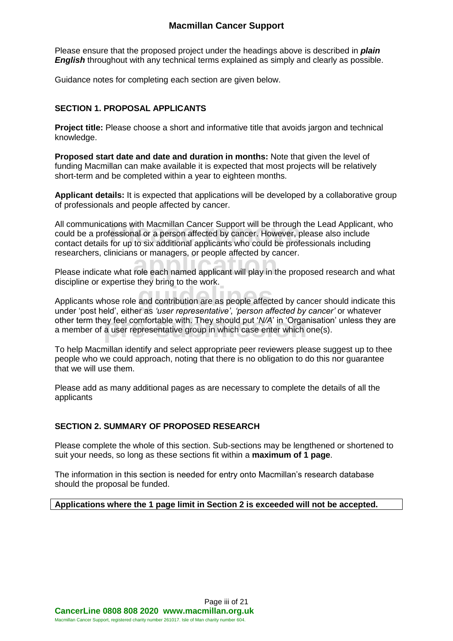Please ensure that the proposed project under the headings above is described in *plain English* throughout with any technical terms explained as simply and clearly as possible.

Guidance notes for completing each section are given below.

#### **SECTION 1. PROPOSAL APPLICANTS**

**Project title:** Please choose a short and informative title that avoids jargon and technical knowledge.

**Proposed start date and date and duration in months:** Note that given the level of funding Macmillan can make available it is expected that most projects will be relatively short-term and be completed within a year to eighteen months.

**Applicant details:** It is expected that applications will be developed by a collaborative group of professionals and people affected by cancer.

tions with Macmillan Cancer Support will be through th<br>'essional or a person affected by cancer. However, ple<br>for up to six additional applicants who could be profes All communications with Macmillan Cancer Support will be through the Lead Applicant, who could be a professional or a person affected by cancer. However, please also include contact details for up to six additional applicants who could be professionals including researchers, clinicians or managers, or people affected by cancer.

researchers, clinicians or managers, or people affected by cancer.<br>Please indicate what role each named applicant will play in the proposed research and what discipline or expertise they bring to the work.

alsophilic of expensive and contribution are as people affected by cancer should indicate this<br>Applicants whose role and contribution are as people affected by cancer should indicate this other term they feel comfortable with. They should put '*N/A*' in 'Organisation' unless they are a member of a user representative group in which case enter which one(s). under 'post held', either as *'user representative'*, *'person affected by cancer'* or whatever a member of a user representative group in which case enter which one(s).

To help Macmillan identify and select appropriate peer reviewers please suggest up to thee people who we could approach, noting that there is no obligation to do this nor guarantee that we will use them.

Please add as many additional pages as are necessary to complete the details of all the applicants

#### **SECTION 2. SUMMARY OF PROPOSED RESEARCH**

Please complete the whole of this section. Sub-sections may be lengthened or shortened to suit your needs, so long as these sections fit within a **maximum of 1 page**.

The information in this section is needed for entry onto Macmillan's research database should the proposal be funded.

#### **Applications where the 1 page limit in Section 2 is exceeded will not be accepted.**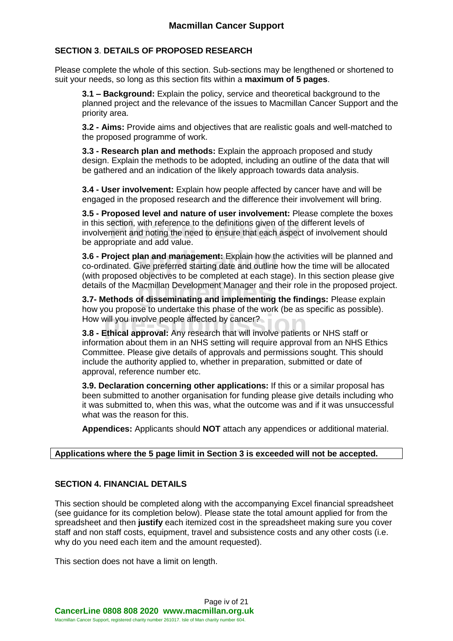#### **SECTION 3**. **DETAILS OF PROPOSED RESEARCH**

Please complete the whole of this section. Sub-sections may be lengthened or shortened to suit your needs, so long as this section fits within a **maximum of 5 pages**.

**3.1 – Background:** Explain the policy, service and theoretical background to the planned project and the relevance of the issues to Macmillan Cancer Support and the priority area.

**3.2 - Aims:** Provide aims and objectives that are realistic goals and well-matched to the proposed programme of work.

**3.3 - Research plan and methods:** Explain the approach proposed and study design. Explain the methods to be adopted, including an outline of the data that will be gathered and an indication of the likely approach towards data analysis.

**3.4 - User involvement:** Explain how people affected by cancer have and will be engaged in the proposed research and the difference their involvement will bring.

in this section, with reference to the definitions given of the different levels of<br>involvement and noting the need to ensure that each aspect of involvement s<br>be appropriate and add value **3.5 - Proposed level and nature of user involvement:** Please complete the boxes involvement and noting the need to ensure that each aspect of involvement should be appropriate and add value.

**3.6 - Project plan and management:** Explain how the activities will be planned and co-ordinated. Give preferred starting date and outline how the time will be allocated (vital) are present abiastive a to be expredicted at **3.6 - Project plan and management:** Explain how the activities will be planned and (with proposed objectives to be completed at each stage). In this section please give

details of the Macmillan Development Manager and their role in the proposed project.<br><mark>3.7- Methods of disseminating and implementing the findings:</mark> Please explain **Pro-submission**<br> **1.5 Federal approval:** Any research that will involve patients or NHS staff or<br> **3.8 - Ethical approval:** Any research that will involve patients or NHS staff or **3.7- Methods of disseminating and implementing the findings:** Please explain how you propose to undertake this phase of the work (be as specific as possible). How will you involve people affected by cancer?

information about them in an NHS setting will require approval from an NHS Ethics Committee. Please give details of approvals and permissions sought. This should include the authority applied to, whether in preparation, submitted or date of approval, reference number etc.

**3.9. Declaration concerning other applications:** If this or a similar proposal has been submitted to another organisation for funding please give details including who it was submitted to, when this was, what the outcome was and if it was unsuccessful what was the reason for this.

**Appendices:** Applicants should **NOT** attach any appendices or additional material.

#### **Applications where the 5 page limit in Section 3 is exceeded will not be accepted.**

#### **SECTION 4. FINANCIAL DETAILS**

This section should be completed along with the accompanying Excel financial spreadsheet (see guidance for its completion below). Please state the total amount applied for from the spreadsheet and then **justify** each itemized cost in the spreadsheet making sure you cover staff and non staff costs, equipment, travel and subsistence costs and any other costs (i.e. why do you need each item and the amount requested).

This section does not have a limit on length.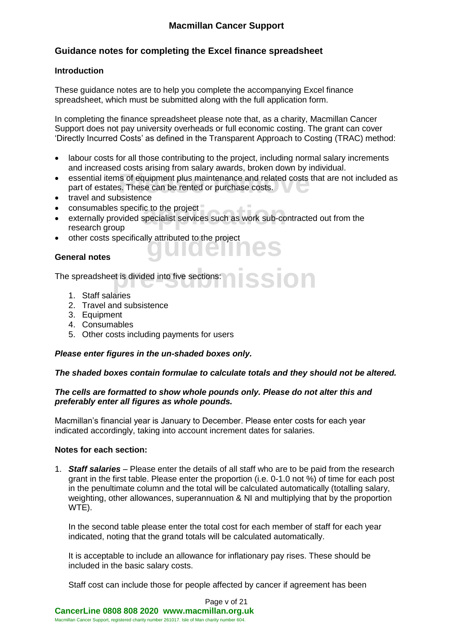#### **Guidance notes for completing the Excel finance spreadsheet**

#### **Introduction**

These guidance notes are to help you complete the accompanying Excel finance spreadsheet, which must be submitted along with the full application form.

In completing the finance spreadsheet please note that, as a charity, Macmillan Cancer Support does not pay university overheads or full economic costing. The grant can cover 'Directly Incurred Costs' as defined in the Transparent Approach to Costing (TRAC) method:

- labour costs for all those contributing to the project, including normal salary increments and increased costs arising from salary awards, broken down by individual.
- **Please remove and related costs that are not included as part of estates. These can be rented or purchase costs.** part of estates. These can be rented or purchase costs.
- travel and subsistence
- $\bullet$  consumables specific to the project  $\blacksquare$
- ic to the project<br>specialist services such as work sub-cont externally provided specialist services such as work sub-contracted out from the research group
- other costs specifically attributed to the project<br> **General notes**

#### **General notes**

**pre-submission** The spreadsheet is divided into five sections:

- 1. Staff salaries
- 2. Travel and subsistence
- 3. Equipment
- 4. Consumables
- 5. Other costs including payments for users

#### *Please enter figures in the un-shaded boxes only.*

#### *The shaded boxes contain formulae to calculate totals and they should not be altered.*

#### *The cells are formatted to show whole pounds only. Please do not alter this and preferably enter all figures as whole pounds.*

Macmillan's financial year is January to December. Please enter costs for each year indicated accordingly, taking into account increment dates for salaries.

#### **Notes for each section:**

1. *Staff salaries* – Please enter the details of all staff who are to be paid from the research grant in the first table. Please enter the proportion (i.e. 0-1.0 not %) of time for each post in the penultimate column and the total will be calculated automatically (totalling salary, weighting, other allowances, superannuation & NI and multiplying that by the proportion WTE).

In the second table please enter the total cost for each member of staff for each year indicated, noting that the grand totals will be calculated automatically.

It is acceptable to include an allowance for inflationary pay rises. These should be included in the basic salary costs.

Staff cost can include those for people affected by cancer if agreement has been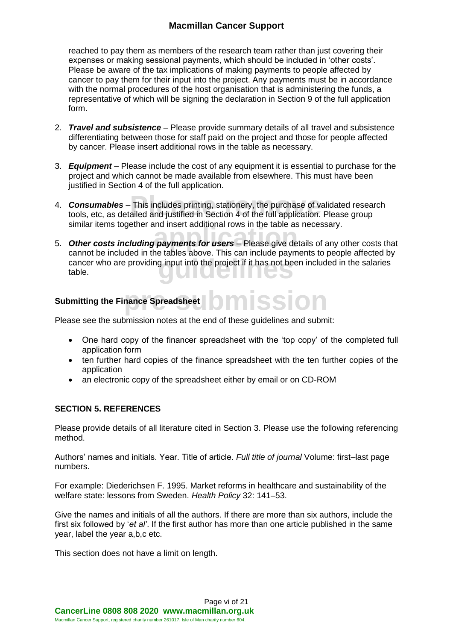reached to pay them as members of the research team rather than just covering their expenses or making sessional payments, which should be included in 'other costs'. Please be aware of the tax implications of making payments to people affected by cancer to pay them for their input into the project. Any payments must be in accordance with the normal procedures of the host organisation that is administering the funds, a representative of which will be signing the declaration in Section 9 of the full application form.

- 2. *Travel and subsistence* Please provide summary details of all travel and subsistence differentiating between those for staff paid on the project and those for people affected by cancer. Please insert additional rows in the table as necessary.
- 3. *Equipment* Please include the cost of any equipment it is essential to purchase for the project and which cannot be made available from elsewhere. This must have been justified in Section 4 of the full application.
- **Consumables** This includes printing, stationery, the purchase of validated reseal<br>tools, etc, as detailed and justified in Section 4 of the full application. Please group 4. *Consumables* – This includes printing, stationery, the purchase of validated research similar items together and insert additional rows in the table as necessary.
- similar fierris together and filsent additional fows in the table as necessary.<br>5. **Other costs including payments for users** Please give details of any other costs that cancer who are providing input into the project if it has not been included in the salaries<br>table. cannot be included in the tables above. This can include payments to people affected by table.

#### **Submitting the Finance Spreadsheet**

Please see the submission notes at the end of these guidelines and submit:

• One hard copy of the financer spreadsheet with the 'top copy' of the completed full application form

**bmission** 

- ten further hard copies of the finance spreadsheet with the ten further copies of the application
- an electronic copy of the spreadsheet either by email or on CD-ROM

#### **SECTION 5. REFERENCES**

Please provide details of all literature cited in Section 3. Please use the following referencing method.

Authors' names and initials. Year. Title of article. *Full title of journal* Volume: first–last page numbers.

For example: Diederichsen F. 1995. Market reforms in healthcare and sustainability of the welfare state: lessons from Sweden. *Health Policy* 32: 141–53.

Give the names and initials of all the authors. If there are more than six authors, include the first six followed by '*et al'*. If the first author has more than one article published in the same year, label the year a,b,c etc.

This section does not have a limit on length.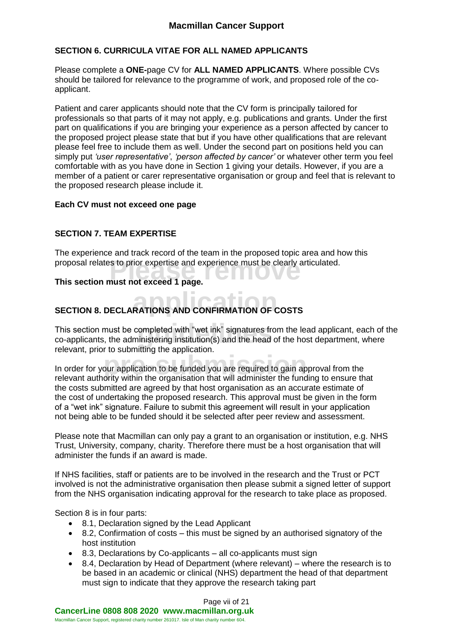#### **SECTION 6. CURRICULA VITAE FOR ALL NAMED APPLICANTS**

Please complete a **ONE-**page CV for **ALL NAMED APPLICANTS**. Where possible CVs should be tailored for relevance to the programme of work, and proposed role of the coapplicant.

Patient and carer applicants should note that the CV form is principally tailored for professionals so that parts of it may not apply, e.g. publications and grants. Under the first part on qualifications if you are bringing your experience as a person affected by cancer to the proposed project please state that but if you have other qualifications that are relevant please feel free to include them as well. Under the second part on positions held you can simply put *'user representative'*, *'person affected by cancer'* or whatever other term you feel comfortable with as you have done in Section 1 giving your details. However, if you are a member of a patient or carer representative organisation or group and feel that is relevant to the proposed research please include it.

#### **Each CV must not exceed one page**

#### **SECTION 7. TEAM EXPERTISE**

proposal relates to prior expertise and experience must be clearly articulated.<br>This section must not exceed 1 page. The experience and track record of the team in the proposed topic area and how this

#### **This section must not exceed 1 page.**

# **SECTION 8. DECLARATIONS AND CONFIRMATION OF COSTS**

This section must be completed with "wet ink" signatures from the lead applicant, each of the co-applicants, the administering institution(s) and the head of the host department, where co-applicants, the administering institution(s) and the head of the host department, where relevant, prior to submitting the application.

**produced**<br>**pre-submission to be funded you are required to gain ap**<br>ority within the organisation that will administer the func In order for your application to be funded you are required to gain approval from the relevant authority within the organisation that will administer the funding to ensure that the costs submitted are agreed by that host organisation as an accurate estimate of the cost of undertaking the proposed research. This approval must be given in the form of a "wet ink" signature. Failure to submit this agreement will result in your application not being able to be funded should it be selected after peer review and assessment.

Please note that Macmillan can only pay a grant to an organisation or institution, e.g. NHS Trust, University, company, charity. Therefore there must be a host organisation that will administer the funds if an award is made.

If NHS facilities, staff or patients are to be involved in the research and the Trust or PCT involved is not the administrative organisation then please submit a signed letter of support from the NHS organisation indicating approval for the research to take place as proposed.

Section 8 is in four parts:

- 8.1, Declaration signed by the Lead Applicant
- 8.2, Confirmation of costs this must be signed by an authorised signatory of the host institution
- 8.3, Declarations by Co-applicants all co-applicants must sign
- 8.4, Declaration by Head of Department (where relevant) where the research is to be based in an academic or clinical (NHS) department the head of that department must sign to indicate that they approve the research taking part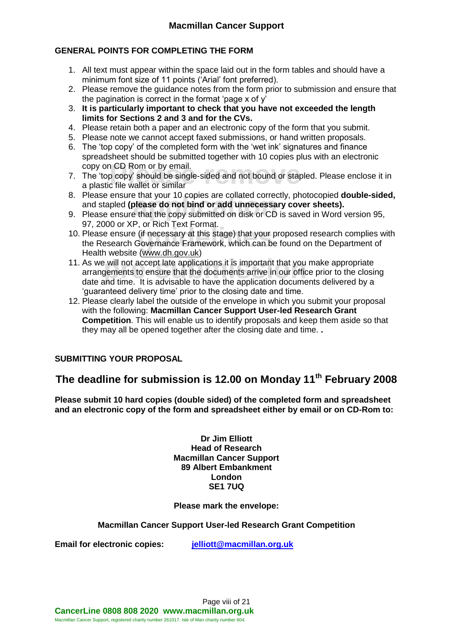#### **GENERAL POINTS FOR COMPLETING THE FORM**

- 1. All text must appear within the space laid out in the form tables and should have a minimum font size of 11 points ('Arial' font preferred).
- 2. Please remove the guidance notes from the form prior to submission and ensure that the pagination is correct in the format 'page x of y'
- 3. **It is particularly important to check that you have not exceeded the length limits for Sections 2 and 3 and for the CVs.**
- 4. Please retain both a paper and an electronic copy of the form that you submit.
- 5. Please note we cannot accept faxed submissions, or hand written proposals.
- 6. The 'top copy' of the completed form with the 'wet ink' signatures and finance spreadsheet should be submitted together with 10 copies plus with an electronic copy on CD Rom or by email.
- n CD Rom or by email.<br>p copy' should be single-sided and not bound or staple<br>c file wallet or similar 7. The 'top copy' should be single-sided and not bound or stapled. Please enclose it in a plastic file wallet or similar
- 8. Please ensure that your 10 copies are collated correctly, photocopied **double-side**<br>and stapled **(please do not bind or add unnecessary cover sheets).**<br>9. Please ensure that the copy submitted on disk or CD is saved in 8. Please ensure that your 10 copies are collated correctly, photocopied **double-sided,** and stapled **(please do not bind or add unnecessary cover sheets).**
- 97, 2000 or XP, or Rich Text Format.
- 10. Please ensure (if necessary at this stage) that your proposed research complies with<br>the Research Governance Framework, which can be found on the Department of the Research Governance Framework, which can be found on the Department of Health website [\(www.dh.gov.uk\)](http://www.dh.gov.uk/)
- 11. As we will not accept late applications it is important that you make appropriate<br>arrangements to ensure that the documents arrive in our office prior to the closii<br>date and time. It is advisable to have the applicatio arrangements to ensure that the documents arrive in our office prior to the closing date and time. It is advisable to have the application documents delivered by a 'guaranteed delivery time' prior to the closing date and time.
- 12. Please clearly label the outside of the envelope in which you submit your proposal with the following: **Macmillan Cancer Support User-led Research Grant Competition**. This will enable us to identify proposals and keep them aside so that they may all be opened together after the closing date and time. **.**

#### **SUBMITTING YOUR PROPOSAL**

### **The deadline for submission is 12.00 on Monday 11th February 2008**

**Please submit 10 hard copies (double sided) of the completed form and spreadsheet and an electronic copy of the form and spreadsheet either by email or on CD-Rom to:**

> **Dr Jim Elliott Head of Research Macmillan Cancer Support 89 Albert Embankment London SE1 7UQ**

#### **Please mark the envelope:**

#### **Macmillan Cancer Support User-led Research Grant Competition**

**Email for electronic copies: [jelliott@macmillan.org.uk](mailto:jelliott@macmillan.org.uk)**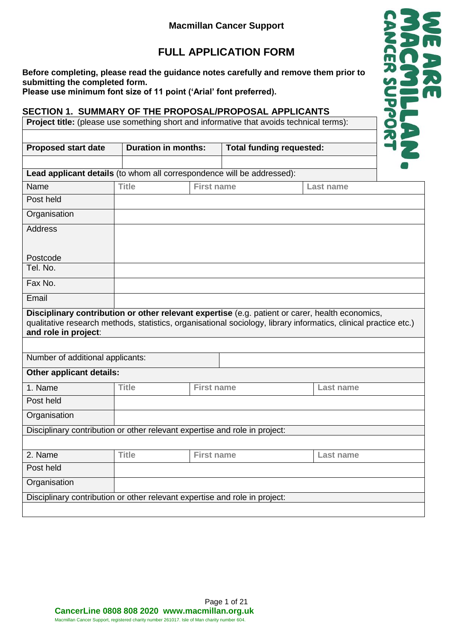## **FULL APPLICATION FORM**

**Before completing, please read the guidance notes carefully and remove them prior to submitting the completed form.**

**Please use minimum font size of 11 point ('Arial' font preferred).**

#### **SECTION 1. SUMMARY OF THE PROPOSAL/PROPOSAL APPLICANTS**

**Project title:** (please use something short and informative that avoids technical terms):

| <b>Proposed start date</b>                                                                                                                                                                                                                  | <b>Duration in months:</b> |                   | <b>Total funding requested:</b> |                  |  |
|---------------------------------------------------------------------------------------------------------------------------------------------------------------------------------------------------------------------------------------------|----------------------------|-------------------|---------------------------------|------------------|--|
|                                                                                                                                                                                                                                             |                            |                   |                                 |                  |  |
| Lead applicant details (to whom all correspondence will be addressed):                                                                                                                                                                      |                            |                   |                                 |                  |  |
| Name                                                                                                                                                                                                                                        | <b>Title</b>               | <b>First name</b> |                                 | Last name        |  |
| Post held                                                                                                                                                                                                                                   |                            |                   |                                 |                  |  |
| Organisation                                                                                                                                                                                                                                |                            |                   |                                 |                  |  |
| <b>Address</b>                                                                                                                                                                                                                              |                            |                   |                                 |                  |  |
|                                                                                                                                                                                                                                             |                            |                   |                                 |                  |  |
| Postcode                                                                                                                                                                                                                                    |                            |                   |                                 |                  |  |
| Tel. No.                                                                                                                                                                                                                                    |                            |                   |                                 |                  |  |
| Fax No.                                                                                                                                                                                                                                     |                            |                   |                                 |                  |  |
| Email                                                                                                                                                                                                                                       |                            |                   |                                 |                  |  |
| Disciplinary contribution or other relevant expertise (e.g. patient or carer, health economics,<br>qualitative research methods, statistics, organisational sociology, library informatics, clinical practice etc.)<br>and role in project: |                            |                   |                                 |                  |  |
| Number of additional applicants:                                                                                                                                                                                                            |                            |                   |                                 |                  |  |
| Other applicant details:                                                                                                                                                                                                                    |                            |                   |                                 |                  |  |
| 1. Name                                                                                                                                                                                                                                     | <b>Title</b>               | <b>First name</b> |                                 | Last name        |  |
| Post held                                                                                                                                                                                                                                   |                            |                   |                                 |                  |  |
| Organisation                                                                                                                                                                                                                                |                            |                   |                                 |                  |  |
| Disciplinary contribution or other relevant expertise and role in project:                                                                                                                                                                  |                            |                   |                                 |                  |  |
|                                                                                                                                                                                                                                             |                            |                   |                                 |                  |  |
| 2. Name                                                                                                                                                                                                                                     | <b>Title</b>               | <b>First name</b> |                                 | <b>Last name</b> |  |
| Post held                                                                                                                                                                                                                                   |                            |                   |                                 |                  |  |
| Organisation                                                                                                                                                                                                                                |                            |                   |                                 |                  |  |
| Disciplinary contribution or other relevant expertise and role in project:                                                                                                                                                                  |                            |                   |                                 |                  |  |
|                                                                                                                                                                                                                                             |                            |                   |                                 |                  |  |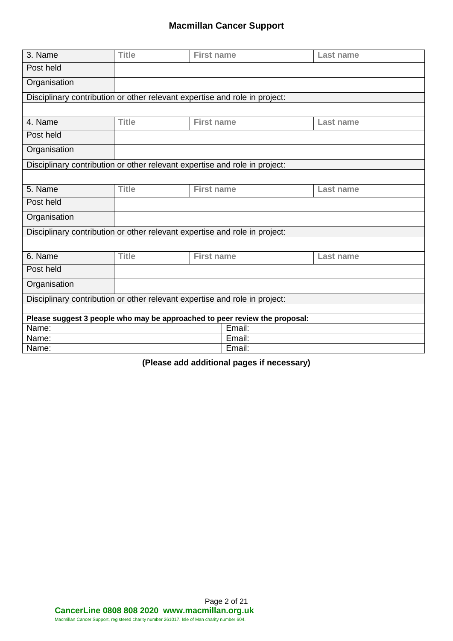| 3. Name                                                                    | <b>Title</b> | <b>First name</b> |        | <b>Last name</b> |
|----------------------------------------------------------------------------|--------------|-------------------|--------|------------------|
| Post held                                                                  |              |                   |        |                  |
|                                                                            |              |                   |        |                  |
| Organisation                                                               |              |                   |        |                  |
| Disciplinary contribution or other relevant expertise and role in project: |              |                   |        |                  |
|                                                                            |              |                   |        |                  |
| 4. Name                                                                    | <b>Title</b> | <b>First name</b> |        | Last name        |
| Post held                                                                  |              |                   |        |                  |
| Organisation                                                               |              |                   |        |                  |
| Disciplinary contribution or other relevant expertise and role in project: |              |                   |        |                  |
|                                                                            |              |                   |        |                  |
| 5. Name                                                                    | <b>Title</b> | <b>First name</b> |        | Last name        |
| Post held                                                                  |              |                   |        |                  |
| Organisation                                                               |              |                   |        |                  |
| Disciplinary contribution or other relevant expertise and role in project: |              |                   |        |                  |
|                                                                            |              |                   |        |                  |
| 6. Name                                                                    | <b>Title</b> | <b>First name</b> |        | <b>Last name</b> |
| Post held                                                                  |              |                   |        |                  |
| Organisation                                                               |              |                   |        |                  |
| Disciplinary contribution or other relevant expertise and role in project: |              |                   |        |                  |
|                                                                            |              |                   |        |                  |
| Please suggest 3 people who may be approached to peer review the proposal: |              |                   |        |                  |
| Name:                                                                      |              |                   | Email: |                  |
| Name:                                                                      |              |                   | Email: |                  |
| Name:                                                                      |              |                   | Email: |                  |

**(Please add additional pages if necessary)**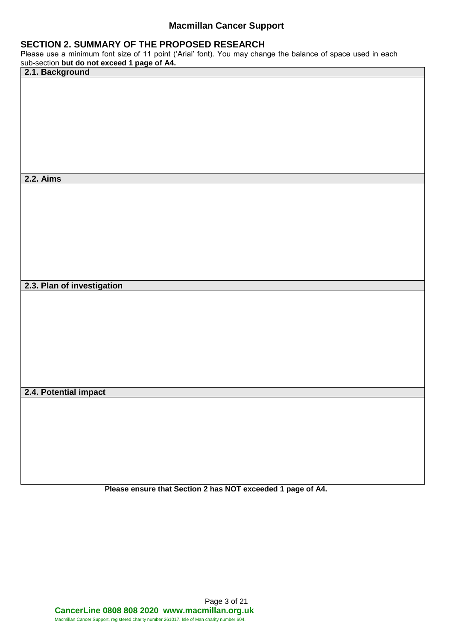#### **SECTION 2. SUMMARY OF THE PROPOSED RESEARCH**

Please use a minimum font size of 11 point ('Arial' font). You may change the balance of space used in each

| sub-section but do not exceed 1 page of A4.<br>2.1. Background |  |
|----------------------------------------------------------------|--|
|                                                                |  |
|                                                                |  |
|                                                                |  |
|                                                                |  |
|                                                                |  |
|                                                                |  |
|                                                                |  |
|                                                                |  |
|                                                                |  |
|                                                                |  |
|                                                                |  |
|                                                                |  |
| <b>2.2. Aims</b>                                               |  |
|                                                                |  |
|                                                                |  |
|                                                                |  |
|                                                                |  |
|                                                                |  |
|                                                                |  |
|                                                                |  |
|                                                                |  |
|                                                                |  |
|                                                                |  |
|                                                                |  |
|                                                                |  |
| 2.3. Plan of investigation                                     |  |
|                                                                |  |
|                                                                |  |
|                                                                |  |
|                                                                |  |
|                                                                |  |
|                                                                |  |
|                                                                |  |
|                                                                |  |
|                                                                |  |
|                                                                |  |
|                                                                |  |
|                                                                |  |
| 2.4. Potential impact                                          |  |
|                                                                |  |
|                                                                |  |
|                                                                |  |
|                                                                |  |
|                                                                |  |
|                                                                |  |
|                                                                |  |

**Please ensure that Section 2 has NOT exceeded 1 page of A4.**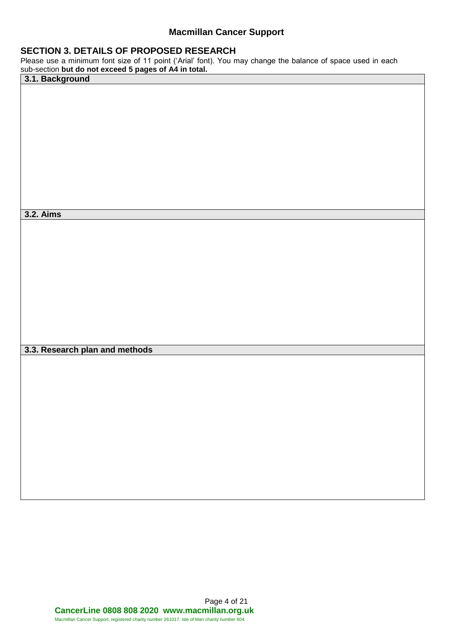#### **SECTION 3. DETAILS OF PROPOSED RESEARCH**

Please use a minimum font size of 11 point ('Arial' font). You may change the balance of space used in each sub-section **but do not exceed 5 pages of A4 in total.**

| 3.1. Background                |  |
|--------------------------------|--|
|                                |  |
|                                |  |
|                                |  |
|                                |  |
|                                |  |
|                                |  |
|                                |  |
|                                |  |
|                                |  |
|                                |  |
|                                |  |
|                                |  |
|                                |  |
| <b>3.2. Aims</b>               |  |
|                                |  |
|                                |  |
|                                |  |
|                                |  |
|                                |  |
|                                |  |
|                                |  |
|                                |  |
|                                |  |
|                                |  |
|                                |  |
|                                |  |
|                                |  |
| 3.3. Research plan and methods |  |
|                                |  |
|                                |  |
|                                |  |
|                                |  |
|                                |  |
|                                |  |
|                                |  |
|                                |  |
|                                |  |
|                                |  |
|                                |  |
|                                |  |
|                                |  |
|                                |  |
|                                |  |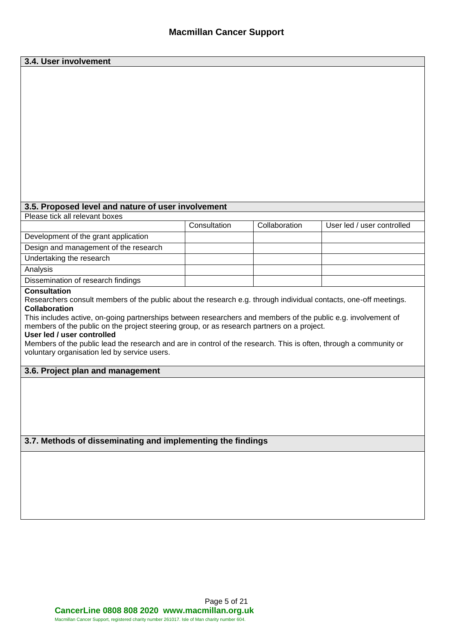| 3.4. User involvement                                                                                                                    |              |               |                            |
|------------------------------------------------------------------------------------------------------------------------------------------|--------------|---------------|----------------------------|
|                                                                                                                                          |              |               |                            |
|                                                                                                                                          |              |               |                            |
|                                                                                                                                          |              |               |                            |
|                                                                                                                                          |              |               |                            |
|                                                                                                                                          |              |               |                            |
|                                                                                                                                          |              |               |                            |
|                                                                                                                                          |              |               |                            |
|                                                                                                                                          |              |               |                            |
|                                                                                                                                          |              |               |                            |
|                                                                                                                                          |              |               |                            |
|                                                                                                                                          |              |               |                            |
|                                                                                                                                          |              |               |                            |
|                                                                                                                                          |              |               |                            |
| 3.5. Proposed level and nature of user involvement                                                                                       |              |               |                            |
| Please tick all relevant boxes                                                                                                           |              |               |                            |
|                                                                                                                                          | Consultation | Collaboration | User led / user controlled |
| Development of the grant application                                                                                                     |              |               |                            |
| Design and management of the research                                                                                                    |              |               |                            |
| Undertaking the research                                                                                                                 |              |               |                            |
| Analysis                                                                                                                                 |              |               |                            |
| Dissemination of research findings                                                                                                       |              |               |                            |
| <b>Consultation</b>                                                                                                                      |              |               |                            |
| Researchers consult members of the public about the research e.g. through individual contacts, one-off meetings.<br><b>Collaboration</b> |              |               |                            |
| This includes active, on-going partnerships between researchers and members of the public e.g. involvement of                            |              |               |                            |
| members of the public on the project steering group, or as research partners on a project.                                               |              |               |                            |
| User led / user controlled                                                                                                               |              |               |                            |
| Members of the public lead the research and are in control of the research. This is often, through a community or                        |              |               |                            |
| voluntary organisation led by service users.                                                                                             |              |               |                            |
| 3.6. Project plan and management                                                                                                         |              |               |                            |
|                                                                                                                                          |              |               |                            |
|                                                                                                                                          |              |               |                            |
|                                                                                                                                          |              |               |                            |
|                                                                                                                                          |              |               |                            |
|                                                                                                                                          |              |               |                            |
|                                                                                                                                          |              |               |                            |
| 3.7. Methods of disseminating and implementing the findings                                                                              |              |               |                            |
|                                                                                                                                          |              |               |                            |
|                                                                                                                                          |              |               |                            |
|                                                                                                                                          |              |               |                            |
|                                                                                                                                          |              |               |                            |
|                                                                                                                                          |              |               |                            |
|                                                                                                                                          |              |               |                            |
|                                                                                                                                          |              |               |                            |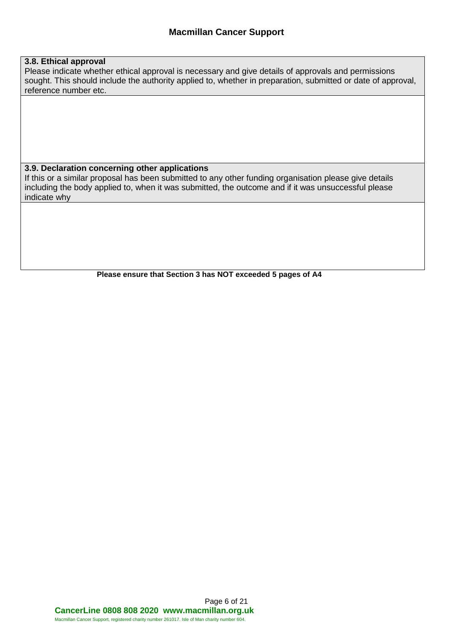#### **3.8. Ethical approval**

Please indicate whether ethical approval is necessary and give details of approvals and permissions sought. This should include the authority applied to, whether in preparation, submitted or date of approval, reference number etc.

#### **3.9. Declaration concerning other applications**

If this or a similar proposal has been submitted to any other funding organisation please give details including the body applied to, when it was submitted, the outcome and if it was unsuccessful please indicate why

**Please ensure that Section 3 has NOT exceeded 5 pages of A4**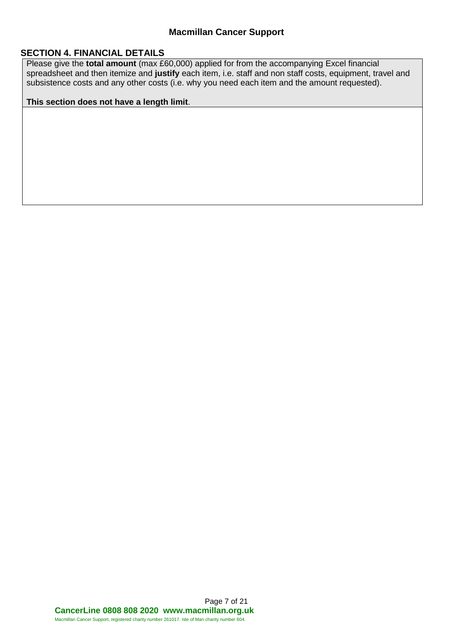#### **SECTION 4. FINANCIAL DETAILS**

Please give the **total amount** (max £60,000) applied for from the accompanying Excel financial spreadsheet and then itemize and **justify** each item, i.e. staff and non staff costs, equipment, travel and subsistence costs and any other costs (i.e. why you need each item and the amount requested).

#### **This section does not have a length limit**.

Page 7 of 21 **CancerLine 0808 808 2020 www.macmillan.org.uk** Macmillan Cancer Support, registered charity number 261017. Isle of Man charity number 604.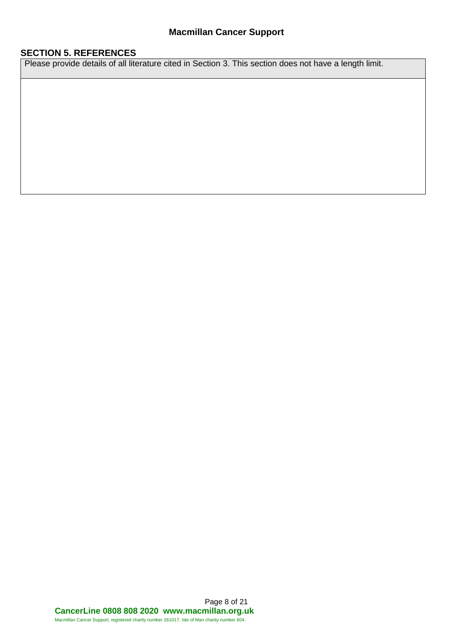#### **SECTION 5. REFERENCES**

Please provide details of all literature cited in Section 3. This section does not have a length limit.

Page 8 of 21 **CancerLine 0808 808 2020 www.macmillan.org.uk** Macmillan Cancer Support, registered charity number 261017. Isle of Man charity number 604.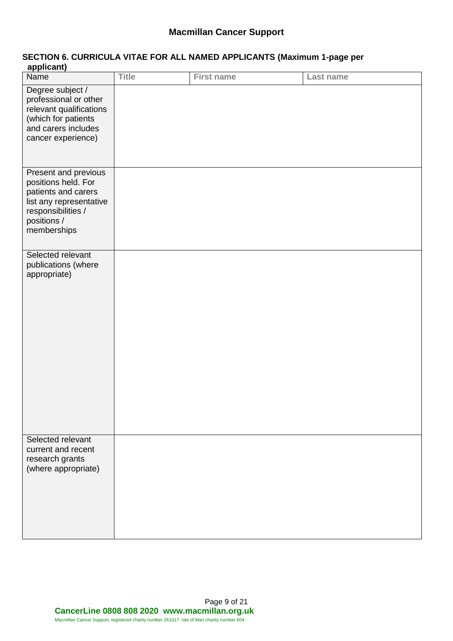#### **SECTION 6. CURRICULA VITAE FOR ALL NAMED APPLICANTS (Maximum 1-page per applicant)**

| applically                                                                                                                                        |              |                   |           |
|---------------------------------------------------------------------------------------------------------------------------------------------------|--------------|-------------------|-----------|
| Name                                                                                                                                              | <b>Title</b> | <b>First name</b> | Last name |
| Degree subject /<br>professional or other<br>relevant qualifications<br>(which for patients<br>and carers includes<br>cancer experience)          |              |                   |           |
| Present and previous<br>positions held. For<br>patients and carers<br>list any representative<br>responsibilities /<br>positions /<br>memberships |              |                   |           |
| Selected relevant<br>publications (where<br>appropriate)                                                                                          |              |                   |           |
| Selected relevant<br>current and recent<br>research grants<br>(where appropriate)                                                                 |              |                   |           |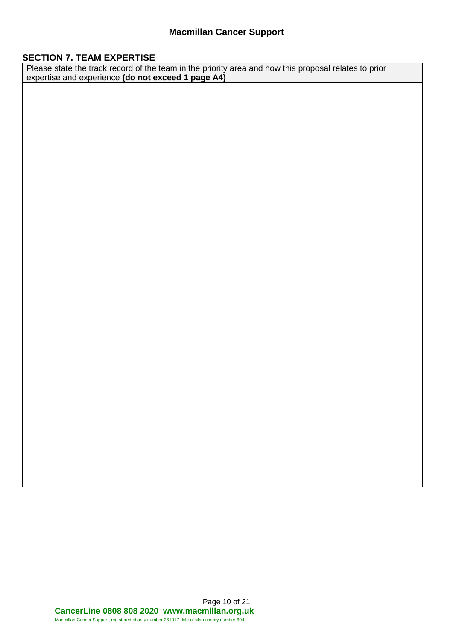#### **SECTION 7. TEAM EXPERTISE**

Please state the track record of the team in the priority area and how this proposal relates to prior expertise and experience **(do not exceed 1 page A4)**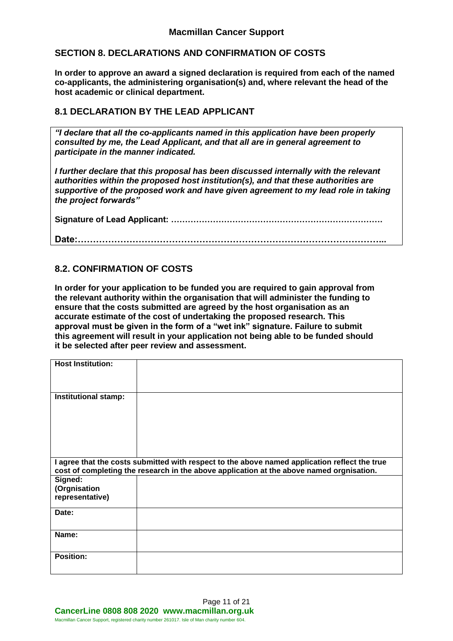#### **SECTION 8. DECLARATIONS AND CONFIRMATION OF COSTS**

**In order to approve an award a signed declaration is required from each of the named co-applicants, the administering organisation(s) and, where relevant the head of the host academic or clinical department.**

#### **8.1 DECLARATION BY THE LEAD APPLICANT**

*"I declare that all the co-applicants named in this application have been properly consulted by me, the Lead Applicant, and that all are in general agreement to participate in the manner indicated.*

*I further declare that this proposal has been discussed internally with the relevant authorities within the proposed host institution(s), and that these authorities are supportive of the proposed work and have given agreement to my lead role in taking the project forwards"*

**Signature of Lead Applicant: ………………………………………………………………….**

**Date:………………………………………………………………………………………...**

#### **8.2. CONFIRMATION OF COSTS**

**In order for your application to be funded you are required to gain approval from the relevant authority within the organisation that will administer the funding to ensure that the costs submitted are agreed by the host organisation as an accurate estimate of the cost of undertaking the proposed research. This approval must be given in the form of a "wet ink" signature. Failure to submit this agreement will result in your application not being able to be funded should it be selected after peer review and assessment.**

| <b>Host Institution:</b>    |                                                                                               |
|-----------------------------|-----------------------------------------------------------------------------------------------|
| <b>Institutional stamp:</b> |                                                                                               |
|                             |                                                                                               |
|                             |                                                                                               |
|                             |                                                                                               |
|                             |                                                                                               |
|                             |                                                                                               |
|                             | I agree that the costs submitted with respect to the above named application reflect the true |
|                             | cost of completing the research in the above application at the above named orgnisation.      |
| Signed:                     |                                                                                               |
| (Orgnisation                |                                                                                               |
| representative)             |                                                                                               |
| Date:                       |                                                                                               |
|                             |                                                                                               |
| Name:                       |                                                                                               |
|                             |                                                                                               |
| <b>Position:</b>            |                                                                                               |
|                             |                                                                                               |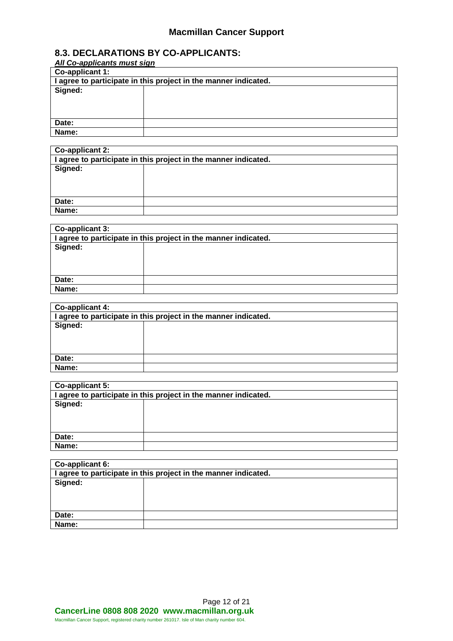#### **8.3. DECLARATIONS BY CO-APPLICANTS:**

| All Co-applicants must sign                                     |  |  |
|-----------------------------------------------------------------|--|--|
| Co-applicant 1:                                                 |  |  |
| I agree to participate in this project in the manner indicated. |  |  |
| Signed:                                                         |  |  |
|                                                                 |  |  |
|                                                                 |  |  |
|                                                                 |  |  |
| Date:                                                           |  |  |
| Name:                                                           |  |  |
|                                                                 |  |  |

| Co-applicant 2:                                                 |  |  |
|-----------------------------------------------------------------|--|--|
| I agree to participate in this project in the manner indicated. |  |  |
| Signed:                                                         |  |  |
|                                                                 |  |  |
|                                                                 |  |  |
|                                                                 |  |  |
| Date:                                                           |  |  |
| Name:                                                           |  |  |
|                                                                 |  |  |

| Co-applicant 3:                                                 |  |  |
|-----------------------------------------------------------------|--|--|
| I agree to participate in this project in the manner indicated. |  |  |
| Signed:                                                         |  |  |
|                                                                 |  |  |
|                                                                 |  |  |
|                                                                 |  |  |
| Date:                                                           |  |  |
| Name:                                                           |  |  |
|                                                                 |  |  |

| Co-applicant 4:                                                 |  |  |
|-----------------------------------------------------------------|--|--|
| I agree to participate in this project in the manner indicated. |  |  |
| Signed:                                                         |  |  |
|                                                                 |  |  |
|                                                                 |  |  |
|                                                                 |  |  |
| Date:                                                           |  |  |
| Name:                                                           |  |  |

| Co-applicant 5:                                                 |  |  |
|-----------------------------------------------------------------|--|--|
| I agree to participate in this project in the manner indicated. |  |  |
| Signed:                                                         |  |  |
|                                                                 |  |  |
|                                                                 |  |  |
|                                                                 |  |  |
| Date:                                                           |  |  |
| Name:                                                           |  |  |

| Co-applicant 6:                                                 |  |
|-----------------------------------------------------------------|--|
| I agree to participate in this project in the manner indicated. |  |
| Signed:                                                         |  |
|                                                                 |  |
|                                                                 |  |
|                                                                 |  |
| Date:                                                           |  |
| Name:                                                           |  |